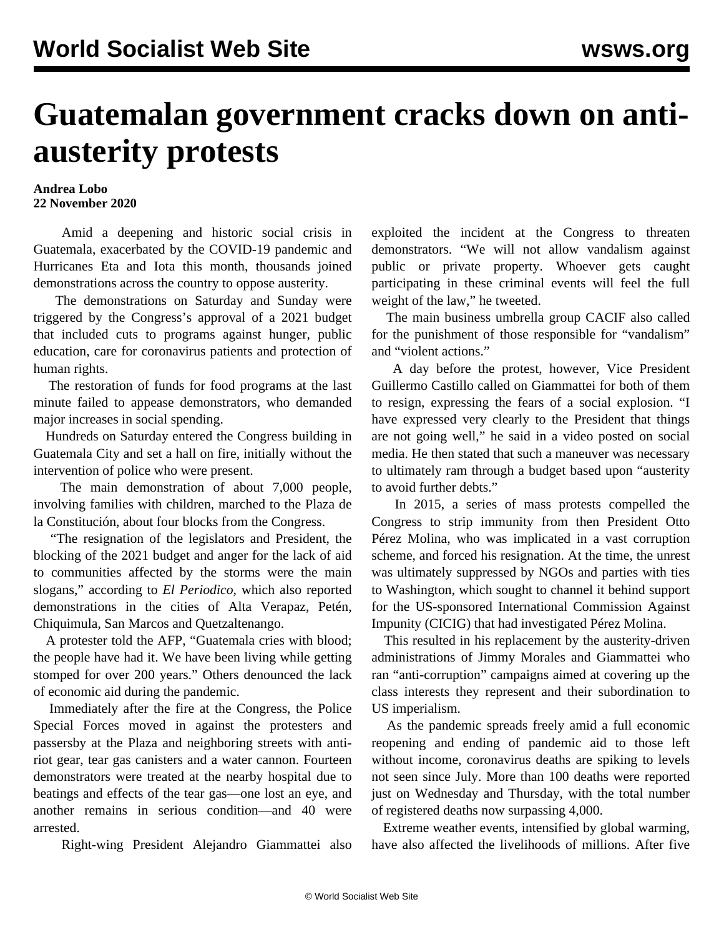## **Guatemalan government cracks down on antiausterity protests**

## **Andrea Lobo 22 November 2020**

 Amid a deepening and historic social crisis in Guatemala, exacerbated by the COVID-19 pandemic and Hurricanes Eta and Iota this month, thousands joined demonstrations across the country to oppose austerity.

 The demonstrations on Saturday and Sunday were triggered by the Congress's approval of a 2021 budget that included cuts to programs against hunger, public education, care for coronavirus patients and protection of human rights.

 The restoration of funds for food programs at the last minute failed to appease demonstrators, who demanded major increases in social spending.

 Hundreds on Saturday entered the Congress building in Guatemala City and set a hall on fire, initially without the intervention of police who were present.

 The main demonstration of about 7,000 people, involving families with children, marched to the Plaza de la Constitución, about four blocks from the Congress.

 "The resignation of the legislators and President, the blocking of the 2021 budget and anger for the lack of aid to communities affected by the storms were the main slogans," according to *El Periodico*, which also reported demonstrations in the cities of Alta Verapaz, Petén, Chiquimula, San Marcos and Quetzaltenango.

 A protester told the AFP, "Guatemala cries with blood; the people have had it. We have been living while getting stomped for over 200 years." Others denounced the lack of economic aid during the pandemic.

 Immediately after the fire at the Congress, the Police Special Forces moved in against the protesters and passersby at the Plaza and neighboring streets with antiriot gear, tear gas canisters and a water cannon. Fourteen demonstrators were treated at the nearby hospital due to beatings and effects of the tear gas—one lost an eye, and another remains in serious condition—and 40 were arrested.

Right-wing President Alejandro Giammattei also

exploited the incident at the Congress to threaten demonstrators. "We will not allow vandalism against public or private property. Whoever gets caught participating in these criminal events will feel the full weight of the law," he tweeted.

 The main business umbrella group CACIF also called for the punishment of those responsible for "vandalism" and "violent actions."

 A day before the protest, however, Vice President Guillermo Castillo called on Giammattei for both of them to resign, expressing the fears of a social explosion. "I have expressed very clearly to the President that things are not going well," he said in a video posted on social media. He then stated that such a maneuver was necessary to ultimately ram through a budget based upon "austerity to avoid further debts."

 In 2015, a series of mass protests compelled the Congress to strip immunity from then President Otto Pérez Molina, who was implicated in a vast corruption scheme, and forced his resignation. At the time, the unrest was ultimately suppressed by NGOs and parties with ties to Washington, which sought to channel it behind support for the US-sponsored International Commission Against Impunity (CICIG) that had investigated Pérez Molina.

 This resulted in his replacement by the austerity-driven administrations of Jimmy Morales and Giammattei who ran "anti-corruption" campaigns aimed at covering up the class interests they represent and their subordination to US imperialism.

 As the pandemic spreads freely amid a full economic reopening and ending of pandemic aid to those left without income, coronavirus deaths are spiking to levels not seen since July. More than 100 deaths were reported just on Wednesday and Thursday, with the total number of registered deaths now surpassing 4,000.

 Extreme weather events, intensified by global warming, have also affected the livelihoods of millions. After five